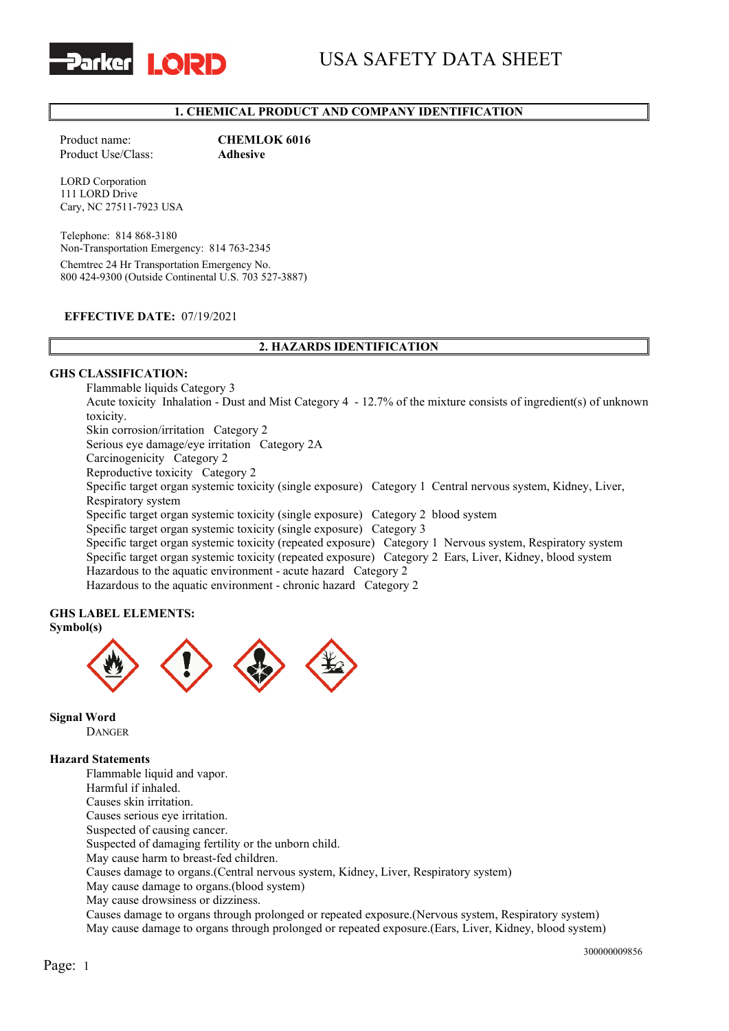

# **1. CHEMICAL PRODUCT AND COMPANY IDENTIFICATION**

Product name: **CHEMLOK 6016**<br>Product Use/Class: **Adhesive** Product Use/Class:

LORD Corporation 111 LORD Drive Cary, NC 27511-7923 USA

Telephone: 814 868-3180 Non-Transportation Emergency: 814 763-2345 Chemtrec 24 Hr Transportation Emergency No. 800 424-9300 (Outside Continental U.S. 703 527-3887)

#### **EFFECTIVE DATE:** 07/19/2021

## **2. HAZARDS IDENTIFICATION**

#### **GHS CLASSIFICATION:**

Flammable liquids Category 3 Acute toxicity Inhalation - Dust and Mist Category 4 - 12.7% of the mixture consists of ingredient(s) of unknown toxicity. Skin corrosion/irritation Category 2 Serious eye damage/eye irritation Category 2A Carcinogenicity Category 2 Reproductive toxicity Category 2 Specific target organ systemic toxicity (single exposure) Category 1 Central nervous system, Kidney, Liver, Respiratory system Specific target organ systemic toxicity (single exposure) Category 2 blood system Specific target organ systemic toxicity (single exposure) Category 3 Specific target organ systemic toxicity (repeated exposure) Category 1 Nervous system, Respiratory system Specific target organ systemic toxicity (repeated exposure) Category 2 Ears, Liver, Kidney, blood system Hazardous to the aquatic environment - acute hazard Category 2 Hazardous to the aquatic environment - chronic hazard Category 2

#### **GHS LABEL ELEMENTS: Symbol(s)**



**Signal Word** DANGER

# **Hazard Statements**

Flammable liquid and vapor. Harmful if inhaled. Causes skin irritation. Causes serious eye irritation. Suspected of causing cancer. Suspected of damaging fertility or the unborn child. May cause harm to breast-fed children. Causes damage to organs.(Central nervous system, Kidney, Liver, Respiratory system) May cause damage to organs.(blood system) May cause drowsiness or dizziness. Causes damage to organs through prolonged or repeated exposure.(Nervous system, Respiratory system) May cause damage to organs through prolonged or repeated exposure.(Ears, Liver, Kidney, blood system)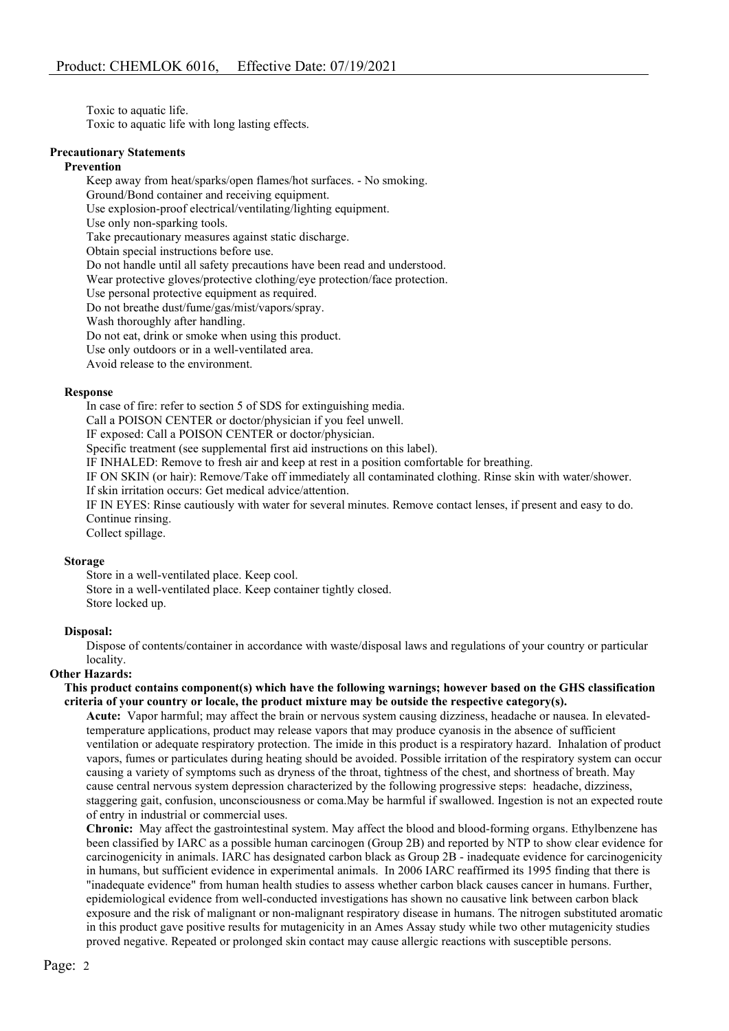Toxic to aquatic life. Toxic to aquatic life with long lasting effects.

#### **Precautionary Statements**

#### **Prevention**

Keep away from heat/sparks/open flames/hot surfaces. - No smoking. Ground/Bond container and receiving equipment. Use explosion-proof electrical/ventilating/lighting equipment. Use only non-sparking tools. Take precautionary measures against static discharge. Obtain special instructions before use. Do not handle until all safety precautions have been read and understood. Wear protective gloves/protective clothing/eye protection/face protection. Use personal protective equipment as required. Do not breathe dust/fume/gas/mist/vapors/spray. Wash thoroughly after handling. Do not eat, drink or smoke when using this product. Use only outdoors or in a well-ventilated area.

Avoid release to the environment.

#### **Response**

In case of fire: refer to section 5 of SDS for extinguishing media.

Call a POISON CENTER or doctor/physician if you feel unwell.

IF exposed: Call a POISON CENTER or doctor/physician.

Specific treatment (see supplemental first aid instructions on this label).

IF INHALED: Remove to fresh air and keep at rest in a position comfortable for breathing.

IF ON SKIN (or hair): Remove/Take off immediately all contaminated clothing. Rinse skin with water/shower. If skin irritation occurs: Get medical advice/attention.

IF IN EYES: Rinse cautiously with water for several minutes. Remove contact lenses, if present and easy to do. Continue rinsing.

Collect spillage.

#### **Storage**

Store in a well-ventilated place. Keep cool. Store in a well-ventilated place. Keep container tightly closed. Store locked up.

#### **Disposal:**

Dispose of contents/container in accordance with waste/disposal laws and regulations of your country or particular locality.

## **Other Hazards:**

**This product contains component(s) which have the following warnings; however based on the GHS classification criteria of your country or locale, the product mixture may be outside the respective category(s).**

**Acute:** Vapor harmful; may affect the brain or nervous system causing dizziness, headache or nausea. In elevatedtemperature applications, product may release vapors that may produce cyanosis in the absence of sufficient ventilation or adequate respiratory protection. The imide in this product is a respiratory hazard. Inhalation of product vapors, fumes or particulates during heating should be avoided. Possible irritation of the respiratory system can occur causing a variety of symptoms such as dryness of the throat, tightness of the chest, and shortness of breath. May cause central nervous system depression characterized by the following progressive steps: headache, dizziness, staggering gait, confusion, unconsciousness or coma.May be harmful if swallowed. Ingestion is not an expected route of entry in industrial or commercial uses.

**Chronic:** May affect the gastrointestinal system. May affect the blood and blood-forming organs. Ethylbenzene has been classified by IARC as a possible human carcinogen (Group 2B) and reported by NTP to show clear evidence for carcinogenicity in animals. IARC has designated carbon black as Group 2B - inadequate evidence for carcinogenicity in humans, but sufficient evidence in experimental animals. In 2006 IARC reaffirmed its 1995 finding that there is "inadequate evidence" from human health studies to assess whether carbon black causes cancer in humans. Further, epidemiological evidence from well-conducted investigations has shown no causative link between carbon black exposure and the risk of malignant or non-malignant respiratory disease in humans. The nitrogen substituted aromatic in this product gave positive results for mutagenicity in an Ames Assay study while two other mutagenicity studies proved negative. Repeated or prolonged skin contact may cause allergic reactions with susceptible persons.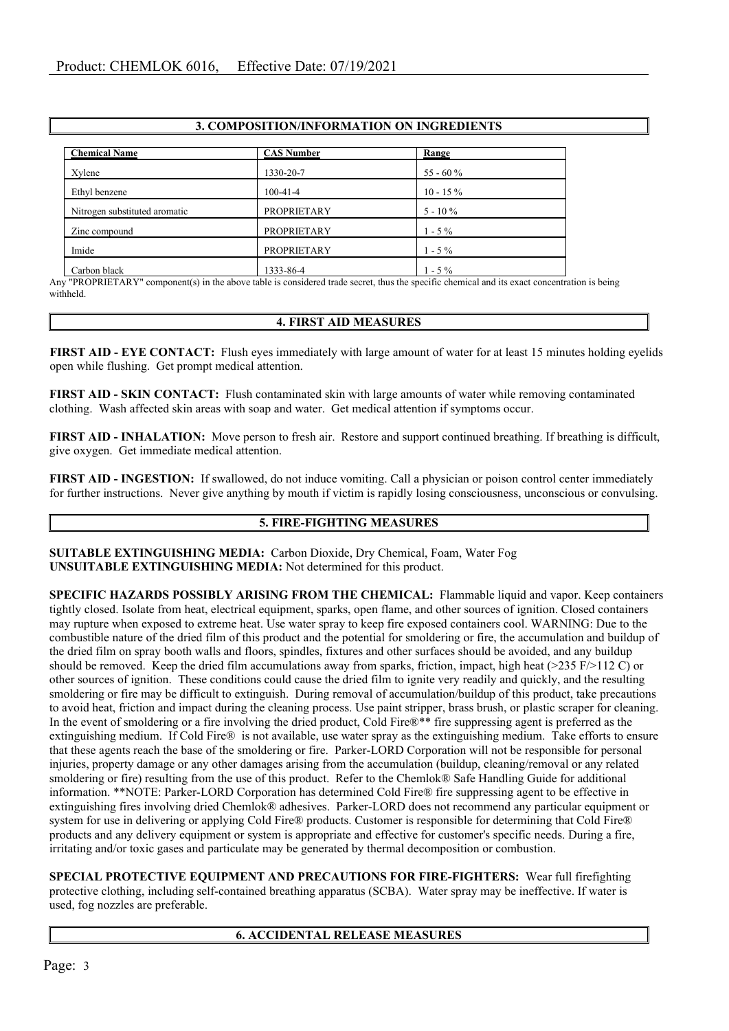## **3. COMPOSITION/INFORMATION ON INGREDIENTS**

| <b>Chemical Name</b>          | <b>CAS Number</b>  | Range       |  |
|-------------------------------|--------------------|-------------|--|
| Xylene                        | 1330-20-7          | 55 - 60 %   |  |
| Ethyl benzene                 | $100-41-4$         | $10 - 15\%$ |  |
| Nitrogen substituted aromatic | <b>PROPRIETARY</b> | $5 - 10\%$  |  |
| Zinc compound                 | <b>PROPRIETARY</b> | $1 - 5\%$   |  |
| Imide                         | <b>PROPRIETARY</b> | $1 - 5\%$   |  |
| Carbon black                  | 1333-86-4          | $1 - 5\%$   |  |

Any "PROPRIETARY" component(s) in the above table is considered trade secret, thus the specific chemical and its exact concentration is being withheld.

## **4. FIRST AID MEASURES**

**FIRST AID - EYE CONTACT:** Flush eyes immediately with large amount of water for at least 15 minutes holding eyelids open while flushing. Get prompt medical attention.

**FIRST AID - SKIN CONTACT:** Flush contaminated skin with large amounts of water while removing contaminated clothing. Wash affected skin areas with soap and water. Get medical attention if symptoms occur.

**FIRST AID - INHALATION:** Move person to fresh air. Restore and support continued breathing. If breathing is difficult, give oxygen. Get immediate medical attention.

**FIRST AID - INGESTION:** If swallowed, do not induce vomiting. Call a physician or poison control center immediately for further instructions. Never give anything by mouth if victim is rapidly losing consciousness, unconscious or convulsing.

# **5. FIRE-FIGHTING MEASURES**

**SUITABLE EXTINGUISHING MEDIA:** Carbon Dioxide, Dry Chemical, Foam, Water Fog **UNSUITABLE EXTINGUISHING MEDIA:** Not determined for this product.

**SPECIFIC HAZARDS POSSIBLY ARISING FROM THE CHEMICAL:** Flammable liquid and vapor. Keep containers tightly closed. Isolate from heat, electrical equipment, sparks, open flame, and other sources of ignition. Closed containers may rupture when exposed to extreme heat. Use water spray to keep fire exposed containers cool. WARNING: Due to the combustible nature of the dried film of this product and the potential for smoldering or fire, the accumulation and buildup of the dried film on spray booth walls and floors, spindles, fixtures and other surfaces should be avoided, and any buildup should be removed. Keep the dried film accumulations away from sparks, friction, impact, high heat  $(>235 \text{ F})\geq 112 \text{ C}$  or other sources of ignition. These conditions could cause the dried film to ignite very readily and quickly, and the resulting smoldering or fire may be difficult to extinguish. During removal of accumulation/buildup of this product, take precautions to avoid heat, friction and impact during the cleaning process. Use paint stripper, brass brush, or plastic scraper for cleaning. In the event of smoldering or a fire involving the dried product, Cold Fire®\*\* fire suppressing agent is preferred as the extinguishing medium. If Cold Fire® is not available, use water spray as the extinguishing medium. Take efforts to ensure that these agents reach the base of the smoldering or fire. Parker-LORD Corporation will not be responsible for personal injuries, property damage or any other damages arising from the accumulation (buildup, cleaning/removal or any related smoldering or fire) resulting from the use of this product. Refer to the Chemlok® Safe Handling Guide for additional information. \*\*NOTE: Parker-LORD Corporation has determined Cold Fire® fire suppressing agent to be effective in extinguishing fires involving dried Chemlok® adhesives. Parker-LORD does not recommend any particular equipment or system for use in delivering or applying Cold Fire® products. Customer is responsible for determining that Cold Fire® products and any delivery equipment or system is appropriate and effective for customer's specific needs. During a fire, irritating and/or toxic gases and particulate may be generated by thermal decomposition or combustion.

**SPECIAL PROTECTIVE EQUIPMENT AND PRECAUTIONS FOR FIRE-FIGHTERS:** Wear full firefighting protective clothing, including self-contained breathing apparatus (SCBA). Water spray may be ineffective. If water is used, fog nozzles are preferable.

# **6. ACCIDENTAL RELEASE MEASURES**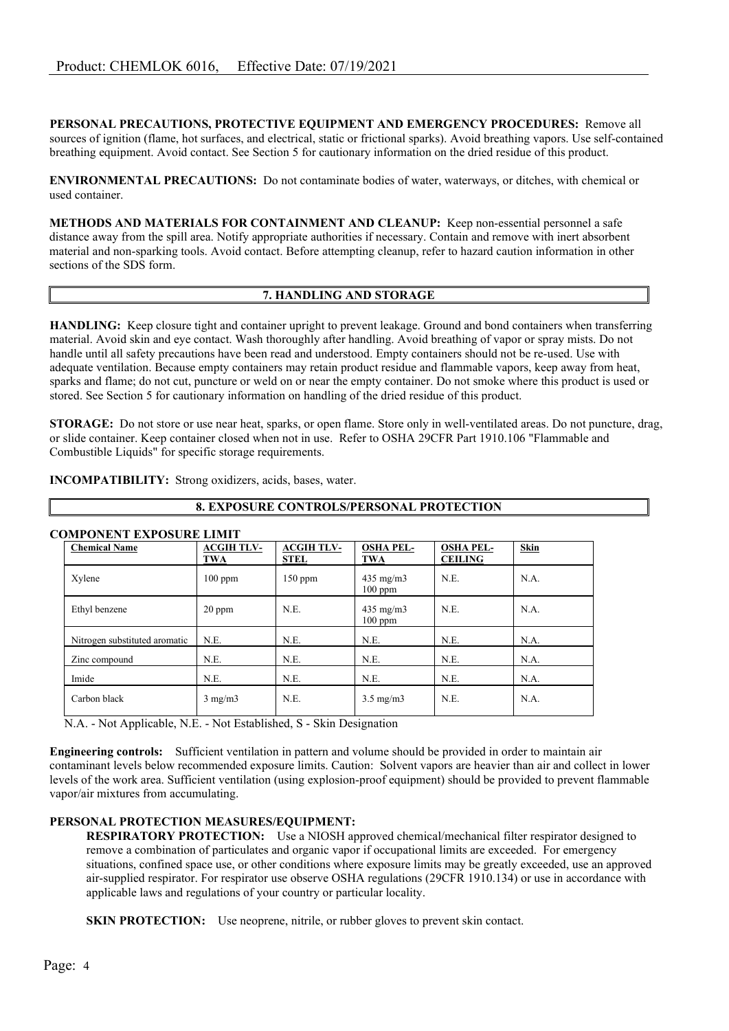**PERSONAL PRECAUTIONS, PROTECTIVE EQUIPMENT AND EMERGENCY PROCEDURES:** Remove all sources of ignition (flame, hot surfaces, and electrical, static or frictional sparks). Avoid breathing vapors. Use self-contained breathing equipment. Avoid contact. See Section 5 for cautionary information on the dried residue of this product.

**ENVIRONMENTAL PRECAUTIONS:** Do not contaminate bodies of water, waterways, or ditches, with chemical or used container.

**METHODS AND MATERIALS FOR CONTAINMENT AND CLEANUP:** Keep non-essential personnel a safe distance away from the spill area. Notify appropriate authorities if necessary. Contain and remove with inert absorbent material and non-sparking tools. Avoid contact. Before attempting cleanup, refer to hazard caution information in other sections of the SDS form.

## **7. HANDLING AND STORAGE**

**HANDLING:** Keep closure tight and container upright to prevent leakage. Ground and bond containers when transferring material. Avoid skin and eye contact. Wash thoroughly after handling. Avoid breathing of vapor or spray mists. Do not handle until all safety precautions have been read and understood. Empty containers should not be re-used. Use with adequate ventilation. Because empty containers may retain product residue and flammable vapors, keep away from heat, sparks and flame; do not cut, puncture or weld on or near the empty container. Do not smoke where this product is used or stored. See Section 5 for cautionary information on handling of the dried residue of this product.

**STORAGE:** Do not store or use near heat, sparks, or open flame. Store only in well-ventilated areas. Do not puncture, drag, or slide container. Keep container closed when not in use. Refer to OSHA 29CFR Part 1910.106 "Flammable and Combustible Liquids" for specific storage requirements.

**8. EXPOSURE CONTROLS/PERSONAL PROTECTION**

| COMPONENT EXPOSURE LIMIT      |                          |                                  |                                 |                                    |      |
|-------------------------------|--------------------------|----------------------------------|---------------------------------|------------------------------------|------|
| <b>Chemical Name</b>          | <b>ACGIH TLV-</b><br>TWA | <b>ACGIH TLV-</b><br><b>STEL</b> | <b>OSHA PEL-</b><br>TWA         | <b>OSHA PEL-</b><br><b>CEILING</b> | Skin |
| Xylene                        | $100$ ppm                | $150$ ppm                        | $435 \text{ mg/m}$<br>$100$ ppm | N.E.                               | N.A. |
| Ethyl benzene                 | $20$ ppm                 | N.E.                             | $435 \text{ mg/m}$<br>$100$ ppm | N.E.                               | N.A. |
| Nitrogen substituted aromatic | N.E.                     | N.E.                             | N.E.                            | N.E.                               | N.A. |
| Zinc compound                 | N.E.                     | N.E.                             | N.E.                            | N.E.                               | N.A. |
| Imide                         | N.E.                     | N.E.                             | N.E.                            | N.E.                               | N.A. |
| Carbon black                  | $3 \text{ mg/m}$         | N.E.                             | $3.5 \text{ mg/m}$              | N.E.                               | N.A. |

#### **INCOMPATIBILITY:** Strong oxidizers, acids, bases, water.

N.A. - Not Applicable, N.E. - Not Established, S - Skin Designation

**Engineering controls:** Sufficient ventilation in pattern and volume should be provided in order to maintain air contaminant levels below recommended exposure limits. Caution: Solvent vapors are heavier than air and collect in lower levels of the work area. Sufficient ventilation (using explosion-proof equipment) should be provided to prevent flammable vapor/air mixtures from accumulating.

## **PERSONAL PROTECTION MEASURES/EQUIPMENT:**

**RESPIRATORY PROTECTION:** Use a NIOSH approved chemical/mechanical filter respirator designed to remove a combination of particulates and organic vapor if occupational limits are exceeded. For emergency situations, confined space use, or other conditions where exposure limits may be greatly exceeded, use an approved air-supplied respirator. For respirator use observe OSHA regulations (29CFR 1910.134) or use in accordance with applicable laws and regulations of your country or particular locality.

**SKIN PROTECTION:** Use neoprene, nitrile, or rubber gloves to prevent skin contact.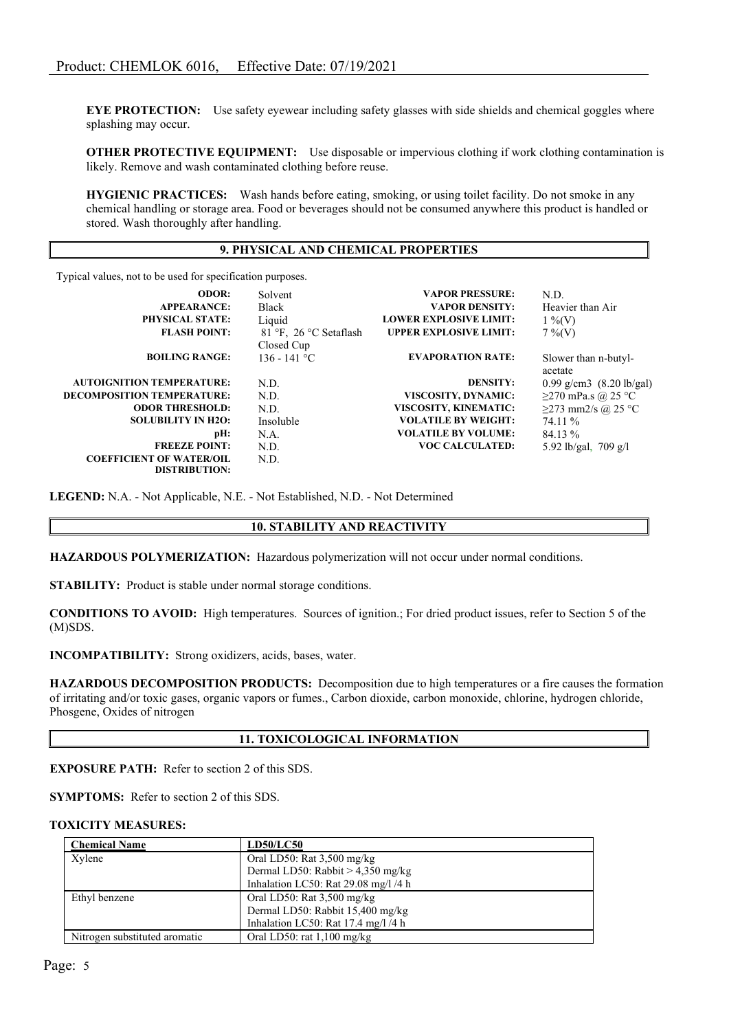**EYE PROTECTION:** Use safety eyewear including safety glasses with side shields and chemical goggles where splashing may occur.

**OTHER PROTECTIVE EQUIPMENT:** Use disposable or impervious clothing if work clothing contamination is likely. Remove and wash contaminated clothing before reuse.

**HYGIENIC PRACTICES:** Wash hands before eating, smoking, or using toilet facility. Do not smoke in any chemical handling or storage area. Food or beverages should not be consumed anywhere this product is handled or stored. Wash thoroughly after handling.

#### **9. PHYSICAL AND CHEMICAL PROPERTIES**

Typical values, not to be used for specification purposes.

| <b>ODOR:</b>                      | Solvent                | <b>VAPOR PRESSURE:</b>        | N.D.                               |
|-----------------------------------|------------------------|-------------------------------|------------------------------------|
| <b>APPEARANCE:</b>                | <b>Black</b>           | <b>VAPOR DENSITY:</b>         | Heavier than Air                   |
| <b>PHYSICAL STATE:</b>            | Liquid                 | <b>LOWER EXPLOSIVE LIMIT:</b> | $1\%$ (V)                          |
| <b>FLASH POINT:</b>               | 81 °F, 26 °C Setaflash | <b>UPPER EXPLOSIVE LIMIT:</b> | $7\%$ (V)                          |
|                                   | Closed Cup             |                               |                                    |
| <b>BOILING RANGE:</b>             | $136 - 141$ °C         | <b>EVAPORATION RATE:</b>      | Slower than n-butyl-               |
|                                   |                        |                               | acetate                            |
| <b>AUTOIGNITION TEMPERATURE:</b>  | N.D.                   | <b>DENSITY:</b>               | 0.99 g/cm3 $(8.20 \text{ lb/gal})$ |
| <b>DECOMPOSITION TEMPERATURE:</b> | N.D.                   | VISCOSITY, DYNAMIC:           | $\geq$ 270 mPa.s @ 25 °C           |
| <b>ODOR THRESHOLD:</b>            | N.D.                   | VISCOSITY, KINEMATIC:         | $\geq$ 273 mm2/s @ 25 °C           |
| <b>SOLUBILITY IN H2O:</b>         | Insoluble              | <b>VOLATILE BY WEIGHT:</b>    | 74.11 %                            |
| pH:                               | N.A.                   | <b>VOLATILE BY VOLUME:</b>    | 84.13 %                            |
| <b>FREEZE POINT:</b>              | N.D.                   | <b>VOC CALCULATED:</b>        | 5.92 lb/gal, 709 g/l               |
| <b>COEFFICIENT OF WATER/OIL</b>   | N.D.                   |                               |                                    |
| <b>DISTRIBUTION:</b>              |                        |                               |                                    |

**LEGEND:** N.A. - Not Applicable, N.E. - Not Established, N.D. - Not Determined

## **10. STABILITY AND REACTIVITY**

**HAZARDOUS POLYMERIZATION:** Hazardous polymerization will not occur under normal conditions.

**STABILITY:** Product is stable under normal storage conditions.

**CONDITIONS TO AVOID:** High temperatures. Sources of ignition.; For dried product issues, refer to Section 5 of the (M)SDS.

**INCOMPATIBILITY:** Strong oxidizers, acids, bases, water.

**HAZARDOUS DECOMPOSITION PRODUCTS:** Decomposition due to high temperatures or a fire causes the formation of irritating and/or toxic gases, organic vapors or fumes., Carbon dioxide, carbon monoxide, chlorine, hydrogen chloride, Phosgene, Oxides of nitrogen

## **11. TOXICOLOGICAL INFORMATION**

**EXPOSURE PATH:** Refer to section 2 of this SDS.

**SYMPTOMS:** Refer to section 2 of this SDS.

#### **TOXICITY MEASURES:**

| <b>Chemical Name</b>          | <b>LD50/LC50</b>                     |
|-------------------------------|--------------------------------------|
| Xylene                        | Oral LD50: Rat $3,500$ mg/kg         |
|                               | Dermal LD50: Rabbit $> 4,350$ mg/kg  |
|                               | Inhalation LC50: Rat 29.08 mg/l /4 h |
| Ethyl benzene                 | Oral LD50: Rat 3,500 mg/kg           |
|                               | Dermal LD50: Rabbit 15,400 mg/kg     |
|                               | Inhalation LC50: Rat 17.4 mg/l /4 h  |
| Nitrogen substituted aromatic | Oral LD50: rat $1,100$ mg/kg         |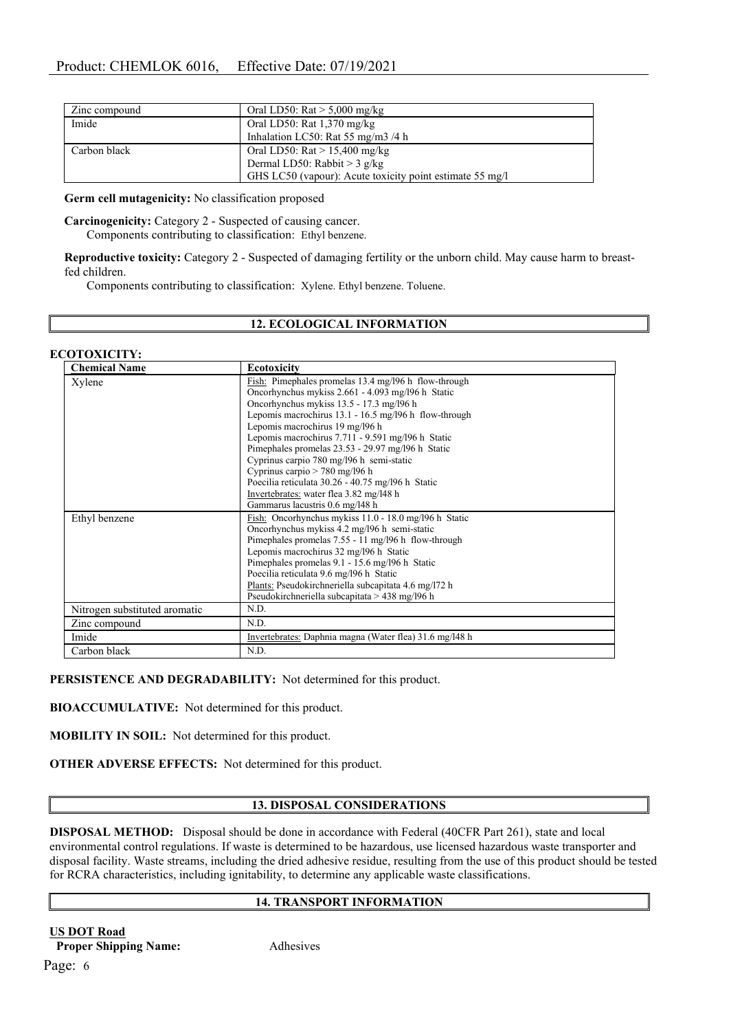| Zinc compound | Oral LD50: $\text{Rat} > 5,000 \text{ mg/kg}$            |
|---------------|----------------------------------------------------------|
| Imide         | Oral LD50: Rat $1,370$ mg/kg                             |
|               | Inhalation LC50: Rat 55 mg/m3 /4 h                       |
| Carbon black  | Oral LD50: $\text{Rat} > 15,400 \text{ mg/kg}$           |
|               | Dermal LD50: Rabbit > 3 g/kg                             |
|               | GHS LC50 (vapour): Acute toxicity point estimate 55 mg/l |

**Germ cell mutagenicity:** No classification proposed

**Carcinogenicity:** Category 2 - Suspected of causing cancer. Components contributing to classification: Ethyl benzene.

**Reproductive toxicity:** Category 2 - Suspected of damaging fertility or the unborn child. May cause harm to breastfed children.

Components contributing to classification: Xylene. Ethyl benzene. Toluene.

# **12. ECOLOGICAL INFORMATION**

#### **ECOTOXICITY:**

| <b>Chemical Name</b>          | <b>Ecotoxicity</b>                                      |
|-------------------------------|---------------------------------------------------------|
| Xylene                        | Fish: Pimephales promelas 13.4 mg/196 h flow-through    |
|                               | Oncorhynchus mykiss 2.661 - 4.093 mg/l96 h Static       |
|                               | Oncorhynchus mykiss 13.5 - 17.3 mg/l96 h                |
|                               | Lepomis macrochirus 13.1 - 16.5 mg/l96 h flow-through   |
|                               | Lepomis macrochirus 19 mg/l96 h                         |
|                               | Lepomis macrochirus 7.711 - 9.591 mg/l96 h Static       |
|                               | Pimephales promelas 23.53 - 29.97 mg/l96 h Static       |
|                               | Cyprinus carpio 780 mg/l96 h semi-static                |
|                               | Cyprinus carpio $> 780$ mg/196 h                        |
|                               | Poecilia reticulata 30.26 - 40.75 mg/196 h Static       |
|                               | Invertebrates: water flea 3.82 mg/l48 h                 |
|                               | Gammarus lacustris 0.6 mg/l48 h                         |
| Ethyl benzene                 | Fish: Oncorhynchus mykiss 11.0 - 18.0 mg/l96 h Static   |
|                               | Oncorhynchus mykiss 4.2 mg/196 h semi-static            |
|                               | Pimephales promelas 7.55 - 11 mg/l96 h flow-through     |
|                               | Lepomis macrochirus 32 mg/196 h Static                  |
|                               | Pimephales promelas 9.1 - 15.6 mg/l96 h Static          |
|                               | Poecilia reticulata 9.6 mg/l96 h Static                 |
|                               | Plants: Pseudokirchneriella subcapitata 4.6 mg/172 h    |
|                               | Pseudokirchneriella subcapitata > 438 mg/l96 h          |
| Nitrogen substituted aromatic | N.D.                                                    |
| Zinc compound                 | N.D.                                                    |
| Imide                         | Invertebrates: Daphnia magna (Water flea) 31.6 mg/l48 h |
| Carbon black                  | N.D.                                                    |

**PERSISTENCE AND DEGRADABILITY:** Not determined for this product.

**BIOACCUMULATIVE:** Not determined for this product.

**MOBILITY IN SOIL:** Not determined for this product.

**OTHER ADVERSE EFFECTS:** Not determined for this product.

## **13. DISPOSAL CONSIDERATIONS**

**DISPOSAL METHOD:** Disposal should be done in accordance with Federal (40CFR Part 261), state and local environmental control regulations. If waste is determined to be hazardous, use licensed hazardous waste transporter and disposal facility. Waste streams, including the dried adhesive residue, resulting from the use of this product should be tested for RCRA characteristics, including ignitability, to determine any applicable waste classifications.

## **14. TRANSPORT INFORMATION**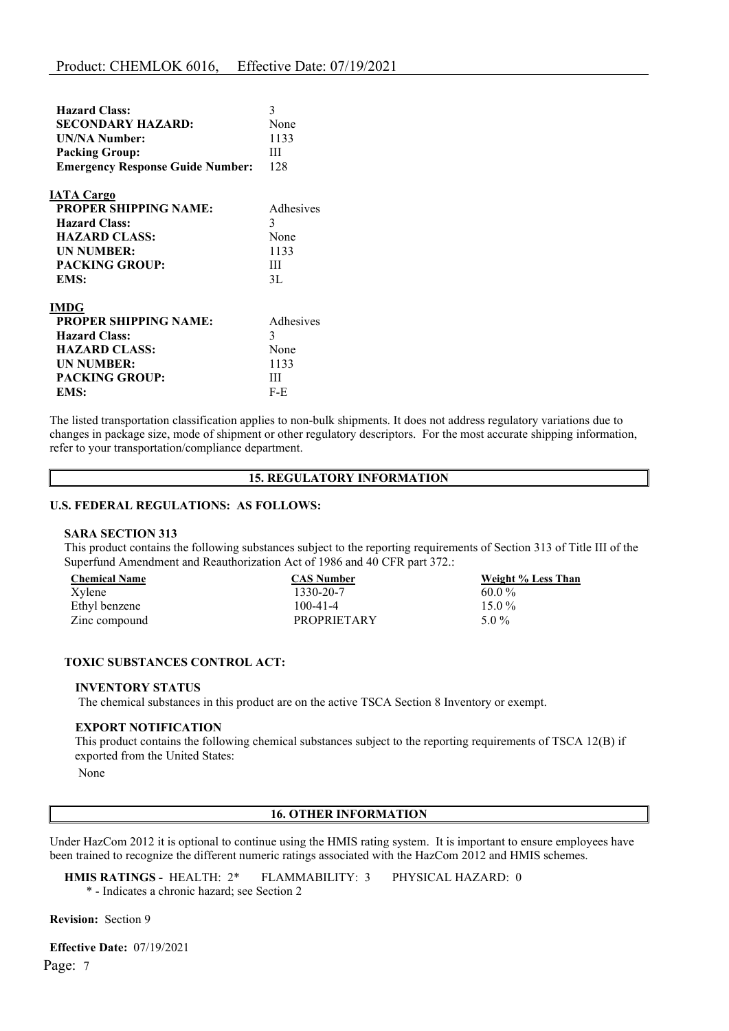| <b>Hazard Class:</b>                    | 3         |
|-----------------------------------------|-----------|
| <b>SECONDARY HAZARD:</b>                | None      |
| <b>UN/NA Number:</b>                    | 1133      |
| <b>Packing Group:</b>                   | Ш         |
| <b>Emergency Response Guide Number:</b> | 128       |
| <b>IATA Cargo</b>                       |           |
| <b>PROPER SHIPPING NAME:</b>            | Adhesives |
| <b>Hazard Class:</b>                    | 3         |
| <b>HAZARD CLASS:</b>                    | None      |
| <b>UN NUMBER:</b>                       | 1133      |
| <b>PACKING GROUP:</b>                   | Ш         |
| EMS:                                    | 3L        |
| <b>IMDG</b>                             |           |
| <b>PROPER SHIPPING NAME:</b>            | Adhesives |
| <b>Hazard Class:</b>                    | 3         |
| <b>HAZARD CLASS:</b>                    | None      |
| <b>UN NUMBER:</b>                       | 1133      |
| <b>PACKING GROUP:</b>                   | Ш         |
| EMS:                                    | $F-E$     |

The listed transportation classification applies to non-bulk shipments. It does not address regulatory variations due to changes in package size, mode of shipment or other regulatory descriptors. For the most accurate shipping information, refer to your transportation/compliance department.

## **15. REGULATORY INFORMATION**

#### **U.S. FEDERAL REGULATIONS: AS FOLLOWS:**

#### **SARA SECTION 313**

This product contains the following substances subject to the reporting requirements of Section 313 of Title III of the Superfund Amendment and Reauthorization Act of 1986 and 40 CFR part 372.:

| <b>Chemical Name</b> | <b>CAS Number</b>  | Weight % Less Than |
|----------------------|--------------------|--------------------|
| Xylene               | 1330-20-7          | $60.0\%$           |
| Ethyl benzene        | 100-41-4           | 15 0 $\%$          |
| Zinc compound        | <b>PROPRIETARY</b> | $5.0\%$            |

## **TOXIC SUBSTANCES CONTROL ACT:**

#### **INVENTORY STATUS**

The chemical substances in this product are on the active TSCA Section 8 Inventory or exempt.

#### **EXPORT NOTIFICATION**

This product contains the following chemical substances subject to the reporting requirements of TSCA 12(B) if exported from the United States:

None

# **16. OTHER INFORMATION**

Under HazCom 2012 it is optional to continue using the HMIS rating system. It is important to ensure employees have been trained to recognize the different numeric ratings associated with the HazCom 2012 and HMIS schemes.

**HMIS RATINGS -** HEALTH: 2\* FLAMMABILITY: 3 PHYSICAL HAZARD: 0 \* - Indicates a chronic hazard; see Section 2

**Revision:** Section 9

Page: 7 **Effective Date:** 07/19/2021